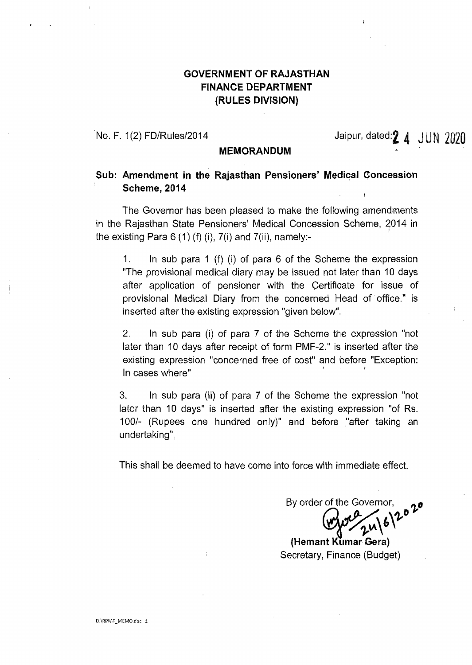## **GOVERNMENT OF RAJASTHAN FINANCE DEPARTMENT (RULES DIVISION)**

No. F. 1(2) FD/Rules/2014  $\blacksquare$  Jaipur, dated: $\footnotesize{\textbf{2.4} \quad \text{JUN} \quad 2020}$ 

#### **MEMORANDUM**

### **Sub: Amendment in the Rajasthan Pensioners' Medical Concession Scheme, 2014**

The Governor has been pleased to make the following amendments in the Rajasthan State Pensioners' Medical Concession Scheme, 2014 in the existing Para  $6(1)$  (f) (i),  $7(1)$  and  $7(1)$ , namely:-

1. In sub para 1 (f) (i) of para 6 of the Scheme the expression "The provisional medical diary may be issued not later than 10 days after application of pensioner with the Certificate for issue of provisional Medical Diary from the concerned Head of office." is inserted after the existing expression "given below".

2. In sub para (i) of para 7 of the Scheme the expression "not later than 10 days after receipt of form PMF-2." is inserted after the existing expression "concerned free of cost" and before "Exception: In cases where"

3. In sub para (ii) of para 7 of the Scheme the expression "not later than 10 days" is inserted after the existing expression "of Rs. 100/~ (Rupees one hundred only)" and before "after taking an undertaking".

This shall be deemed to have come into force with immediate effect.

By order of the Governor,

**(Hemant Kumar Gera)** Secretary, Finance (Budget)